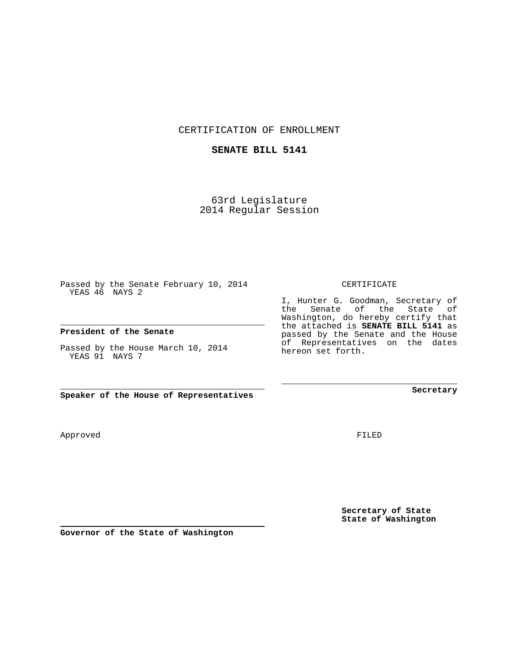CERTIFICATION OF ENROLLMENT

## **SENATE BILL 5141**

63rd Legislature 2014 Regular Session

Passed by the Senate February 10, 2014 YEAS 46 NAYS 2

## **President of the Senate**

Passed by the House March 10, 2014 YEAS 91 NAYS 7

**Speaker of the House of Representatives**

**Governor of the State of Washington**

FILED

**Secretary of State State of Washington**

**Secretary**

CERTIFICATE

I, Hunter G. Goodman, Secretary of the Senate of the State of Washington, do hereby certify that the attached is **SENATE BILL 5141** as passed by the Senate and the House of Representatives on the dates hereon set forth.

Approved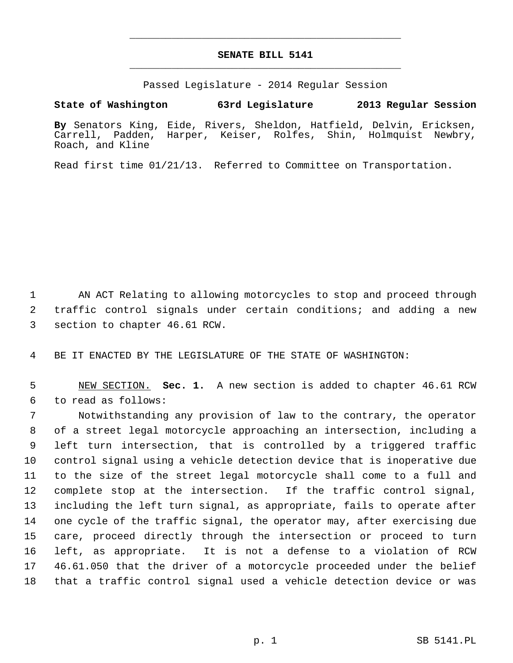## **SENATE BILL 5141** \_\_\_\_\_\_\_\_\_\_\_\_\_\_\_\_\_\_\_\_\_\_\_\_\_\_\_\_\_\_\_\_\_\_\_\_\_\_\_\_\_\_\_\_\_

\_\_\_\_\_\_\_\_\_\_\_\_\_\_\_\_\_\_\_\_\_\_\_\_\_\_\_\_\_\_\_\_\_\_\_\_\_\_\_\_\_\_\_\_\_

Passed Legislature - 2014 Regular Session

## **State of Washington 63rd Legislature 2013 Regular Session**

**By** Senators King, Eide, Rivers, Sheldon, Hatfield, Delvin, Ericksen, Carrell, Padden, Harper, Keiser, Rolfes, Roach, and Kline

Read first time 01/21/13. Referred to Committee on Transportation.

1 AN ACT Relating to allowing motorcycles to stop and proceed through 2 traffic control signals under certain conditions; and adding a new 3 section to chapter 46.61 RCW.

4 BE IT ENACTED BY THE LEGISLATURE OF THE STATE OF WASHINGTON:

 5 NEW SECTION. **Sec. 1.** A new section is added to chapter 46.61 RCW 6 to read as follows:

 7 Notwithstanding any provision of law to the contrary, the operator 8 of a street legal motorcycle approaching an intersection, including a 9 left turn intersection, that is controlled by a triggered traffic 10 control signal using a vehicle detection device that is inoperative due 11 to the size of the street legal motorcycle shall come to a full and 12 complete stop at the intersection. If the traffic control signal, 13 including the left turn signal, as appropriate, fails to operate after 14 one cycle of the traffic signal, the operator may, after exercising due 15 care, proceed directly through the intersection or proceed to turn 16 left, as appropriate. It is not a defense to a violation of RCW 17 46.61.050 that the driver of a motorcycle proceeded under the belief 18 that a traffic control signal used a vehicle detection device or was